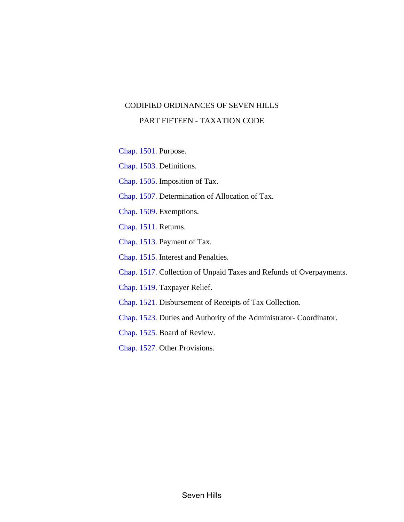## CODIFIED ORDINANCES OF SEVEN HILLS PART FIFTEEN - TAXATION CODE

[Chap.](#page-1-0) 1501. Purpose.

[Chap.](#page-2-0) 1503. Definitions.

[Chap.](#page-6-0) 1505. Imposition of Tax.

[Chap. 1507.](#page-8-0) Determination of Allocation of Tax.

[Chap.](#page-11-0) 1509. Exemptions.

[Chap.](#page-12-0) 1511. Returns.

[Chap. 1513.](#page-14-0) Payment of Tax.

Chap. [1515.](#page-18-0) Interest and Penalties.

[Chap.](#page-20-0) 1517. Collection of Unpaid Taxes and Refunds of Overpayments.

[Chap.](#page-21-0) 1519. Taxpayer Relief.

[Chap.](#page-22-0) 1521. Disbursement of Receipts of Tax Collection.

[Chap.](#page-23-0) 1523. Duties and Authority of the Administrator- Coordinator.

[Chap. 1525.](#page-26-0) Board of Review.

[Chap. 1527.](#page-28-0) Other Provisions.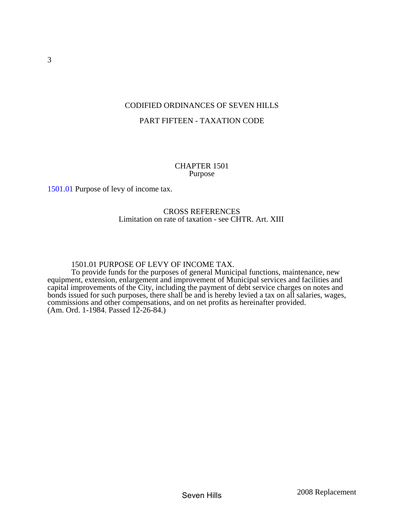## <span id="page-1-0"></span>CODIFIED ORDINANCES OF SEVEN HILLS PART FIFTEEN - TAXATION CODE

## CHAPTER 1501 Purpose

[1501.01](#page-1-0) Purpose of levy of income tax.

## CROSS REFERENCES Limitation on rate of taxation - see CHTR. Art. XIII

## 1501.01 PURPOSE OF LEVY OF INCOME TAX.

 To provide funds for the purposes of general Municipal functions, maintenance, new equipment, extension, enlargement and improvement of Municipal services and facilities and capital improvements of the City, including the payment of debt service charges on notes and bonds issued for such purposes, there shall be and is hereby levied a tax on all salaries, wages, commissions and other compensations, and on net profits as hereinafter provided. (Am. Ord. 1-1984. Passed 12-26-84.)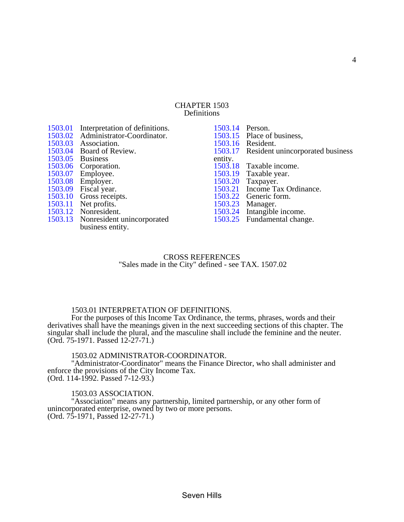#### CHAPTER 1503 Definitions

<span id="page-2-0"></span>

| 1503.01<br>1503.02<br>1503.03<br>1503.04<br>1503.05<br>1503.06 | Interpretation of definitions.<br>Administrator-Coordinator.<br>Association.<br>Board of Review.<br><b>Business</b><br>Corporation. |
|----------------------------------------------------------------|-------------------------------------------------------------------------------------------------------------------------------------|
| 1503.07                                                        | Employee.                                                                                                                           |
| 1503.08                                                        | Employer.                                                                                                                           |
| 1503.09                                                        | Fiscal year.                                                                                                                        |
| 1503.10                                                        | Gross receipts.                                                                                                                     |
| 1503.11                                                        | Net profits.                                                                                                                        |
| 1503.12                                                        | Nonresident.                                                                                                                        |
| 1503.13                                                        | Nonresident unincorporated                                                                                                          |
|                                                                | business entity.                                                                                                                    |

| Person.                          |
|----------------------------------|
| Place of business,               |
| Resident.                        |
| Resident unincorporated business |
|                                  |
| Taxable income.                  |
| Taxable year.                    |
| Taxpayer.                        |
| Income Tax Ordinance.            |
| Generic form.                    |
| Manager.                         |
| Intangible income.               |
| Fundamental change.              |
|                                  |

## CROSS REFERENCES "Sales made in the City" defined - see TAX. 1507.02

#### 1503.01 INTERPRETATION OF DEFINITIONS.

 For the purposes of this Income Tax Ordinance, the terms, phrases, words and their derivatives shall have the meanings given in the next succeeding sections of this chapter. The singular shall include the plural, and the masculine shall include the feminine and the neuter. (Ord. 75-1971. Passed 12-27-71.)

## 1503.02 ADMINISTRATOR-COORDINATOR.

 "Administrator-Coordinator" means the Finance Director, who shall administer and enforce the provisions of the City Income Tax. (Ord. 114-1992. Passed 7-12-93.)

#### 1503.03 ASSOCIATION.

 "Association" means any partnership, limited partnership, or any other form of unincorporated enterprise, owned by two or more persons. (Ord. 75-1971, Passed 12-27-71.)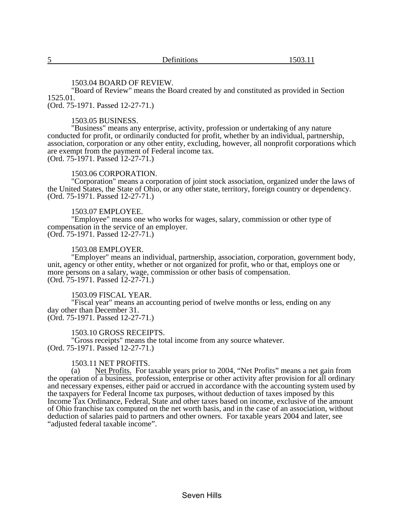#### 1503.04 BOARD OF REVIEW.

<span id="page-3-0"></span> "Board of Review" means the Board created by and constituted as provided in Section 1525.01.

(Ord. 75-1971. Passed 12-27-71.)

#### 1503.05 BUSINESS.

 "Business" means any enterprise, activity, profession or undertaking of any nature conducted for profit, or ordinarily conducted for profit, whether by an individual, partnership, association, corporation or any other entity, excluding, however, all nonprofit corporations which are exempt from the payment of Federal income tax. (Ord. 75-1971. Passed 12-27-71.)

## 1503.06 CORPORATION.

 "Corporation" means a corporation of joint stock association, organized under the laws of the United States, the State of Ohio, or any other state, territory, foreign country or dependency. (Ord. 75-1971. Passed 12-27-71.)

## 1503.07 EMPLOYEE.

 "Employee" means one who works for wages, salary, commission or other type of compensation in the service of an employer. (Ord. 75-1971. Passed 12-27-71.)

#### 1503.08 EMPLOYER.

 "Employer" means an individual, partnership, association, corporation, government body, unit, agency or other entity, whether or not organized for profit, who or that, employs one or more persons on a salary, wage, commission or other basis of compensation.  $(Ord. 75-1971.$  Passed  $12-27-71.$ )

## 1503.09 FISCAL YEAR.

 "Fiscal year" means an accounting period of twelve months or less, ending on any day other than December 31. (Ord. 75-1971. Passed 12-27-71.)

#### 1503.10 GROSS RECEIPTS.

 "Gross receipts" means the total income from any source whatever. (Ord. 75-1971. Passed 12-27-71.)

#### 1503.11 NET PROFITS.

 (a) Net Profits. For taxable years prior to 2004, "Net Profits" means a net gain from the operation of a business, profession, enterprise or other activity after provision for all ordinary and necessary expenses, either paid or accrued in accordance with the accounting system used by the taxpayers for Federal Income tax purposes, without deduction of taxes imposed by this Income Tax Ordinance, Federal, State and other taxes based on income, exclusive of the amount of Ohio franchise tax computed on the net worth basis, and in the case of an association, without deduction of salaries paid to partners and other owners. For taxable years 2004 and later, see "adjusted federal taxable income".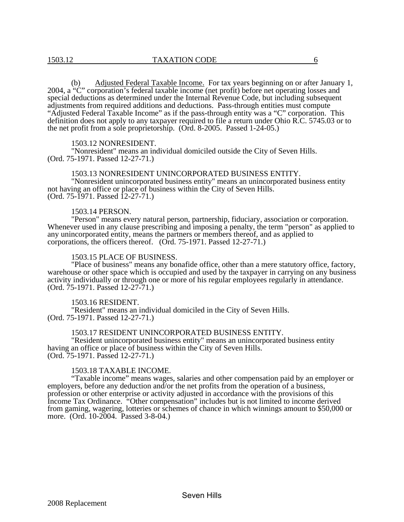<span id="page-4-0"></span> (b) Adjusted Federal Taxable Income. For tax years beginning on or after January 1, 2004, a "C" corporation's federal taxable income (net profit) before net operating losses and special deductions as determined under the Internal Revenue Code, but including subsequent adjustments from required additions and deductions. Pass-through entities must compute "Adjusted Federal Taxable Income" as if the pass-through entity was a "C" corporation. This definition does not apply to any taxpayer required to file a return under Ohio R.C. 5745.03 or to the net profit from a sole proprietorship. (Ord. 8-2005. Passed 1-24-05.)

#### 1503.12 NONRESIDENT.

 "Nonresident" means an individual domiciled outside the City of Seven Hills. (Ord. 75-1971. Passed 12-27-71.)

#### 1503.13 NONRESIDENT UNINCORPORATED BUSINESS ENTITY.

 "Nonresident unincorporated business entity" means an unincorporated business entity not having an office or place of business within the City of Seven Hills. (Ord. 75-1971. Passed 12-27-71.)

#### 1503.14 PERSON.

 "Person" means every natural person, partnership, fiduciary, association or corporation. Whenever used in any clause prescribing and imposing a penalty, the term "person" as applied to any unincorporated entity, means the partners or members thereof, and as applied to corporations, the officers thereof. (Ord. 75-1971. Passed 12-27-71.)

#### 1503.15 PLACE OF BUSINESS.

 "Place of business" means any bonafide office, other than a mere statutory office, factory, warehouse or other space which is occupied and used by the taxpayer in carrying on any business activity individually or through one or more of his regular employees regularly in attendance. (Ord. 75-1971. Passed 12-27-71.)

#### 1503.16 RESIDENT.

 "Resident" means an individual domiciled in the City of Seven Hills. (Ord. 75-1971. Passed 12-27-71.)

#### 1503.17 RESIDENT UNINCORPORATED BUSINESS ENTITY.

 "Resident unincorporated business entity" means an unincorporated business entity having an office or place of business within the City of Seven Hills. (Ord. 75-1971. Passed 12-27-71.)

#### 1503.18 TAXABLE INCOME.

 "Taxable income" means wages, salaries and other compensation paid by an employer or employers, before any deduction and/or the net profits from the operation of a business, profession or other enterprise or activity adjusted in accordance with the provisions of this Income Tax Ordinance. "Other compensation" includes but is not limited to income derived from gaming, wagering, lotteries or schemes of chance in which winnings amount to \$50,000 or more. (Ord. 10-2004. Passed 3-8-04.)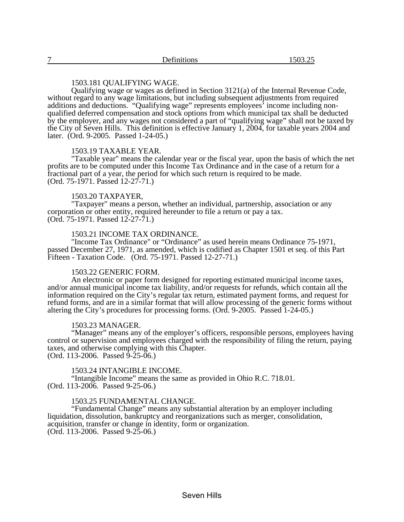## 1503.181 QUALIFYING WAGE.

<span id="page-5-0"></span> Qualifying wage or wages as defined in Section 3121(a) of the Internal Revenue Code, without regard to any wage limitations, but including subsequent adjustments from required additions and deductions. "Qualifying wage" represents employees' income including nonqualified deferred compensation and stock options from which municipal tax shall be deducted by the employer, and any wages not considered a part of "qualifying wage" shall not be taxed by the City of Seven Hills. This definition is effective January 1, 2004, for taxable years 2004 and later. (Ord. 9-2005. Passed 1-24-05.)

#### 1503.19 TAXABLE YEAR.

 "Taxable year" means the calendar year or the fiscal year, upon the basis of which the net profits are to be computed under this Income Tax Ordinance and in the case of a return for a fractional part of a year, the period for which such return is required to be made. (Ord. 75-1971. Passed 12-27-71.)

#### 1503.20 TAXPAYER,

 "Taxpayer" means a person, whether an individual, partnership, association or any corporation or other entity, required hereunder to file a return or pay a tax. (Ord. 75-1971. Passed 12-27-71.)

## 1503.21 INCOME TAX ORDINANCE.

 "Income Tax Ordinance" or "Ordinance" as used herein means Ordinance 75-1971, passed December 27, 1971, as amended, which is codified as Chapter 1501 et seq. of this Part Fifteen - Taxation Code. (Ord. 75-1971. Passed 12-27-71.)

## 1503.22 GENERIC FORM.

 An electronic or paper form designed for reporting estimated municipal income taxes, and/or annual municipal income tax liability, and/or requests for refunds, which contain all the information required on the City's regular tax return, estimated payment forms, and request for refund forms, and are in a similar format that will allow processing of the generic forms without altering the City's procedures for processing forms. (Ord. 9-2005. Passed 1-24-05.)

#### 1503.23 MANAGER.

 "Manager" means any of the employer's officers, responsible persons, employees having control or supervision and employees charged with the responsibility of filing the return, paying taxes, and otherwise complying with this Chapter.  $(Ord. 113-2006.$  Passed  $9-25-06.$ )

#### 1503.24 INTANGIBLE INCOME.

 "Intangible Income" means the same as provided in Ohio R.C. 718.01. (Ord. 113-2006. Passed 9-25-06.)

#### 1503.25 FUNDAMENTAL CHANGE.

 "Fundamental Change" means any substantial alteration by an employer including liquidation, dissolution, bankruptcy and reorganizations such as merger, consolidation, acquisition, transfer or change in identity, form or organization. (Ord. 113-2006. Passed 9-25-06.)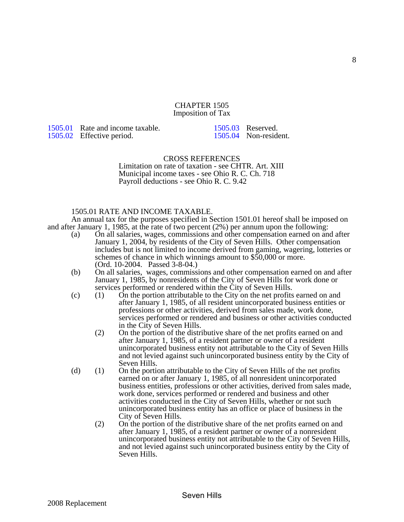#### CHAPTER 1505 Imposition of Tax

<span id="page-6-0"></span>[1505.01](#page-6-0) Rate and income taxable. [1505.02](#page-7-0) Effective period.

[1505.03](#page-7-0) Reserved. 1505.04 Non-resident.

## CROSS REFERENCES

 Limitation on rate of taxation - see CHTR. Art. XIII Municipal income taxes - see Ohio R. C. Ch. 718 Payroll deductions - see Ohio R. C. 9.42

## 1505.01 RATE AND INCOME TAXABLE.

 An annual tax for the purposes specified in Section 1501.01 hereof shall be imposed on and after January 1, 1985, at the rate of two percent (2%) per annum upon the following:

- (a) On all salaries, wages, commissions and other compensation earned on and after January 1, 2004, by residents of the City of Seven Hills. Other compensation includes but is not limited to income derived from gaming, wagering, lotteries or schemes of chance in which winnings amount to \$50,000 or more. (Ord. 10-2004. Passed 3-8-04.)
- (b) On all salaries, wages, commissions and other compensation earned on and after January 1, 1985, by nonresidents of the City of Seven Hills for work done or services performed or rendered within the City of Seven Hills.
- (c) (1) On the portion attributable to the City on the net profits earned on and after January 1, 1985, of all resident unincorporated business entities or professions or other activities, derived from sales made, work done, services performed or rendered and business or other activities conducted in the City of Seven Hills.
	- (2) On the portion of the distributive share of the net profits earned on and after January 1, 1985, of a resident partner or owner of a resident unincorporated business entity not attributable to the City of Seven Hills and not levied against such unincorporated business entity by the City of Seven Hills.
- (d) (1) On the portion attributable to the City of Seven Hills of the net profits earned on or after January 1, 1985, of all nonresident unincorporated business entities, professions or other activities, derived from sales made, work done, services performed or rendered and business and other activities conducted in the City of Seven Hills, whether or not such unincorporated business entity has an office or place of business in the City of Seven Hills.
	- (2) On the portion of the distributive share of the net profits earned on and after January 1, 1985, of a resident partner or owner of a nonresident unincorporated business entity not attributable to the City of Seven Hills, and not levied against such unincorporated business entity by the City of Seven Hills.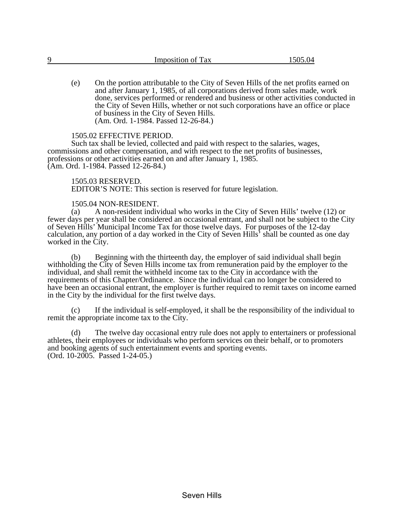<span id="page-7-0"></span>

| Q | Imposition of Tax | $\Delta$<br>- ہ<br>. IZI |
|---|-------------------|--------------------------|
|   |                   |                          |

(e) On the portion attributable to the City of Seven Hills of the net profits earned on and after January 1, 1985, of all corporations derived from sales made, work done, services performed or rendered and business or other activities conducted in the City of Seven Hills, whether or not such corporations have an office or place of business in the City of Seven Hills. (Am. Ord. 1-1984. Passed 12-26-84.)

## 1505.02 EFFECTIVE PERIOD.

 Such tax shall be levied, collected and paid with respect to the salaries, wages, commissions and other compensation, and with respect to the net profits of businesses, professions or other activities earned on and after January 1, 1985. (Am. Ord. 1-1984. Passed 12-26-84.)

## 1505.03 RESERVED.

EDITOR'S NOTE: This section is reserved for future legislation.

# 1505.04 NON-RESIDENT.<br>(a) A non-resident indiv

 (a) A non-resident individual who works in the City of Seven Hills' twelve (12) or fewer days per year shall be considered an occasional entrant, and shall not be subject to the City of Seven Hills' Municipal Income Tax for those twelve days. For purposes of the 12-day calculation, any portion of a day worked in the City of Seven Hills' shall be counted as one day worked in the City.

 (b) Beginning with the thirteenth day, the employer of said individual shall begin withholding the City of Seven Hills income tax from remuneration paid by the employer to the individual, and shall remit the withheld income tax to the City in accordance with the requirements of this Chapter/Ordinance. Since the individual can no longer be considered to have been an occasional entrant, the employer is further required to remit taxes on income earned in the City by the individual for the first twelve days.

 (c) If the individual is self-employed, it shall be the responsibility of the individual to remit the appropriate income tax to the City.

 (d) The twelve day occasional entry rule does not apply to entertainers or professional athletes, their employees or individuals who perform services on their behalf, or to promoters and booking agents of such entertainment events and sporting events. (Ord. 10-2005. Passed 1-24-05.)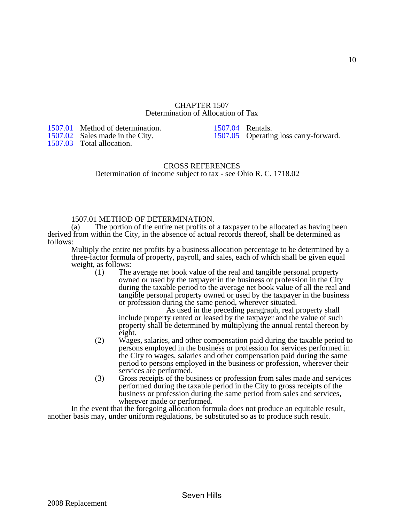## CHAPTER 1507 Determination of Allocation of Tax

<span id="page-8-0"></span>[1507.01](#page-8-0) Method of determination. [1507.02](#page-9-0) Sales made in the City.

1507.03 Total allocation.

[1507.04](#page-10-0) Rentals. 1507.05 Operating loss carry-forward.

## CROSS REFERENCES Determination of income subject to tax - see Ohio R. C. 1718.02

## 1507.01 METHOD OF DETERMINATION.

 (a) The portion of the entire net profits of a taxpayer to be allocated as having been derived from within the City, in the absence of actual records thereof, shall be determined as follows:

Multiply the entire net profits by a business allocation percentage to be determined by a three-factor formula of property, payroll, and sales, each of which shall be given equal weight, as follows:

 (1) The average net book value of the real and tangible personal property owned or used by the taxpayer in the business or profession in the City during the taxable period to the average net book value of all the real and tangible personal property owned or used by the taxpayer in the business or profession during the same period, wherever situated.

 As used in the preceding paragraph, real property shall include property rented or leased by the taxpayer and the value of such property shall be determined by multiplying the annual rental thereon by eight.

- (2) Wages, salaries, and other compensation paid during the taxable period to persons employed in the business or profession for services performed in the City to wages, salaries and other compensation paid during the same period to persons employed in the business or profession, wherever their services are performed.
- (3) Gross receipts of the business or profession from sales made and services performed during the taxable period in the City to gross receipts of the business or profession during the same period from sales and services, wherever made or performed.

 In the event that the foregoing allocation formula does not produce an equitable result, another basis may, under uniform regulations, be substituted so as to produce such result.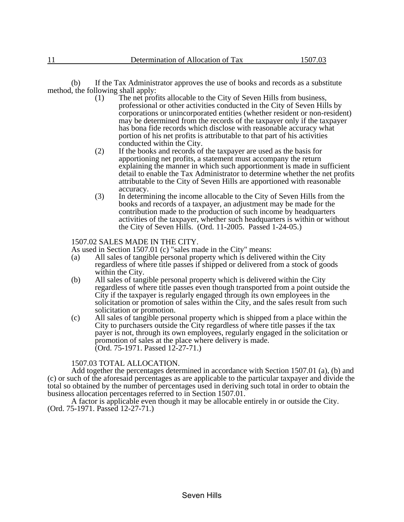<span id="page-9-0"></span> (b) If the Tax Administrator approves the use of books and records as a substitute method, the following shall apply:<br>(1) The net prof

- The net profits allocable to the City of Seven Hills from business, professional or other activities conducted in the City of Seven Hills by corporations or unincorporated entities (whether resident or non-resident) may be determined from the records of the taxpayer only if the taxpayer has bona fide records which disclose with reasonable accuracy what portion of his net profits is attributable to that part of his activities conducted within the City.
- (2) If the books and records of the taxpayer are used as the basis for apportioning net profits, a statement must accompany the return explaining the manner in which such apportionment is made in sufficient detail to enable the Tax Administrator to determine whether the net profits attributable to the City of Seven Hills are apportioned with reasonable accuracy.
- (3) In determining the income allocable to the City of Seven Hills from the books and records of a taxpayer, an adjustment may be made for the contribution made to the production of such income by headquarters activities of the taxpayer, whether such headquarters is within or without the City of Seven Hills. (Ord. 11-2005. Passed 1-24-05.)

#### 1507.02 SALES MADE IN THE CITY.

As used in Section 1507.01 (c) "sales made in the City" means:

- (a) All sales of tangible personal property which is delivered within the City regardless of where title passes if shipped or delivered from a stock of goods within the City.
- (b) All sales of tangible personal property which is delivered within the City regardless of where title passes even though transported from a point outside the City if the taxpayer is regularly engaged through its own employees in the solicitation or promotion of sales within the City, and the sales result from such solicitation or promotion.
- (c) All sales of tangible personal property which is shipped from a place within the City to purchasers outside the City regardless of where title passes if the tax payer is not, through its own employees, regularly engaged in the solicitation or promotion of sales at the place where delivery is made. (Ord. 75-1971. Passed 12-27-71.)

#### 1507.03 TOTAL ALLOCATION.

 Add together the percentages determined in accordance with Section 1507.01 (a), (b) and (c) or such of the aforesaid percentages as are applicable to the particular taxpayer and divide the total so obtained by the number of percentages used in deriving such total in order to obtain the business allocation percentages referred to in Section 1507.01.

 A factor is applicable even though it may be allocable entirely in or outside the City. (Ord. 75-1971. Passed 12-27-71.)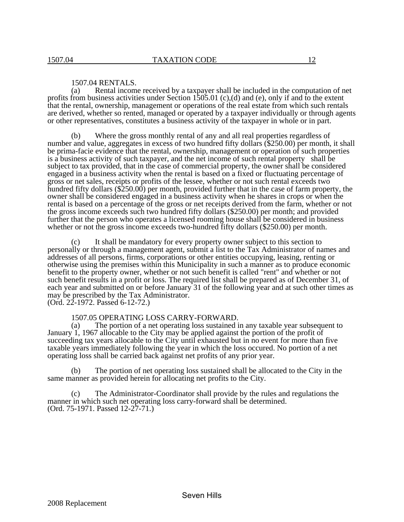<span id="page-10-0"></span> (a) Rental income received by a taxpayer shall be included in the computation of net profits from business activities under Section 1505.01 (c),(d) and (e), only if and to the extent that the rental, ownership, management or operations of the real estate from which such rentals are derived, whether so rented, managed or operated by a taxpayer individually or through agents or other representatives, constitutes a business activity of the taxpayer in whole or in part.

 (b) Where the gross monthly rental of any and all real properties regardless of number and value, aggregates in excess of two hundred fifty dollars (\$250.00) per month, it shall be prima-facie evidence that the rental, ownership, management or operation of such properties is a business activity of such taxpayer, and the net income of such rental property shall be subject to tax provided, that in the case of commercial property, the owner shall be considered engaged in a business activity when the rental is based on a fixed or fluctuating percentage of gross or net sales, receipts or profits of the lessee, whether or not such rental exceeds two hundred fifty dollars (\$250.00) per month, provided further that in the case of farm property, the owner shall be considered engaged in a business activity when he shares in crops or when the rental is based on a percentage of the gross or net receipts derived from the farm, whether or not the gross income exceeds such two hundred fifty dollars (\$250.00) per month; and provided further that the person who operates a licensed rooming house shall be considered in business whether or not the gross income exceeds two-hundred fifty dollars (\$250.00) per month.

 (c) It shall be mandatory for every property owner subject to this section to personally or through a management agent, submit a list to the Tax Administrator of names and addresses of all persons, firms, corporations or other entities occupying, leasing, renting or otherwise using the premises within this Municipality in such a manner as to produce economic benefit to the property owner, whether or not such benefit is called "rent" and whether or not such benefit results in a profit or loss. The required list shall be prepared as of December 31, of each year and submitted on or before January 31 of the following year and at such other times as may be prescribed by the Tax Administrator. (Ord. 22-1972. Passed 6-12-72.)

1507.05 OPERATING LOSS CARRY-FORWARD.<br>(a) The portion of a net operating loss sustained i

The portion of a net operating loss sustained in any taxable year subsequent to January 1, 1967 allocable to the City may be applied against the portion of the profit of succeeding tax years allocable to the City until exhausted but in no event for more than five taxable years immediately following the year in which the loss occured. No portion of a net operating loss shall be carried back against net profits of any prior year.

 (b) The portion of net operating loss sustained shall be allocated to the City in the same manner as provided herein for allocating net profits to the City.

 (c) The Administrator-Coordinator shall provide by the rules and regulations the manner in which such net operating loss carry-forward shall be determined. (Ord. 75-1971. Passed 12-27-71.)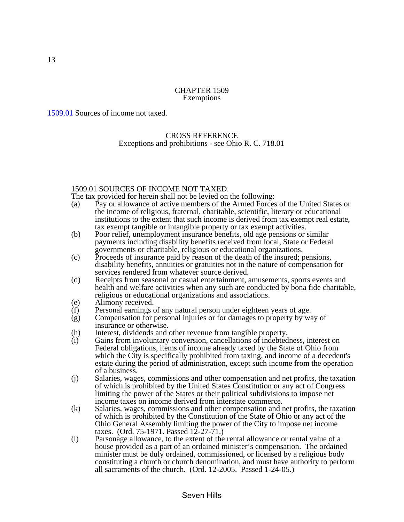## CHAPTER 1509 Exemptions

<span id="page-11-0"></span>[1509.01](#page-11-0) Sources of income not taxed.

## CROSS REFERENCE Exceptions and prohibitions - see Ohio R. C. 718.01

## 1509.01 SOURCES OF INCOME NOT TAXED.

The tax provided for herein shall not be levied on the following:

- (a) Pay or allowance of active members of the Armed Forces of the United States or the income of religious, fraternal, charitable, scientific, literary or educational institutions to the extent that such income is derived from tax exempt real estate, tax exempt tangible or intangible property or tax exempt activities.
- (b) Poor relief, unemployment insurance benefits, old age pensions or similar payments including disability benefits received from local, State or Federal governments or charitable, religious or educational organizations.
- (c) Proceeds of insurance paid by reason of the death of the insured; pensions, disability benefits, annuities or gratuities not in the nature of compensation for services rendered from whatever source derived.
- (d) Receipts from seasonal or casual entertainment, amusements, sports events and health and welfare activities when any such are conducted by bona fide charitable, religious or educational organizations and associations.
- (e) Alimony received.
- (f) Personal earnings of any natural person under eighteen years of age.
- (g) Compensation for personal injuries or for damages to property by way of insurance or otherwise.
- (h) Interest, dividends and other revenue from tangible property.
- (i) Gains from involuntary conversion, cancellations of indebtedness, interest on Federal obligations, items of income already taxed by the State of Ohio from which the City is specifically prohibited from taxing, and income of a decedent's estate during the period of administration, except such income from the operation of a business.
- (j) Salaries, wages, commissions and other compensation and net profits, the taxation of which is prohibited by the United States Constitution or any act of Congress limiting the power of the States or their political subdivisions to impose net income taxes on income derived from interstate commerce.
- (k) Salaries, wages, commissions and other compensation and net profits, the taxation of which is prohibited by the Constitution of the State of Ohio or any act of the Ohio General Assembly limiting the power of the City to impose net income taxes. (Ord. 75-1971. Passed  $12-27-71$ .)
- (l) Parsonage allowance, to the extent of the rental allowance or rental value of a house provided as a part of an ordained minister's compensation. The ordained minister must be duly ordained, commissioned, or licensed by a religious body constituting a church or church denomination, and must have authority to perform all sacraments of the church. (Ord. 12-2005. Passed 1-24-05.)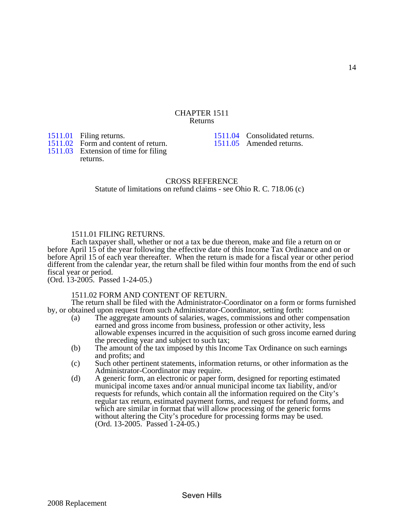#### CHAPTER 1511 Returns

<span id="page-12-0"></span>[1511.01](#page-12-0) Filing returns.

1511.02 Form and content of return.

[1511.04](#page-13-0) Consolidated returns. 1511.05 Amended returns.

[1511.03](#page-13-0) Extension of time for filing returns.

> CROSS REFERENCE Statute of limitations on refund claims - see Ohio R. C. 718.06 (c)

## 1511.01 FILING RETURNS.

 Each taxpayer shall, whether or not a tax be due thereon, make and file a return on or before April 15 of the year following the effective date of this Income Tax Ordinance and on or before April 15 of each year thereafter. When the return is made for a fiscal year or other period different from the calendar year, the return shall be filed within four months from the end of such fiscal year or period.

(Ord. 13-2005. Passed 1-24-05.)

## 1511.02 FORM AND CONTENT OF RETURN.

 The return shall be filed with the Administrator-Coordinator on a form or forms furnished by, or obtained upon request from such Administrator-Coordinator, setting forth:

- (a) The aggregate amounts of salaries, wages, commissions and other compensation earned and gross income from business, profession or other activity, less allowable expenses incurred in the acquisition of such gross income earned during the preceding year and subject to such tax;
- (b) The amount of the tax imposed by this Income Tax Ordinance on such earnings and profits; and
- (c) Such other pertinent statements, information returns, or other information as the Administrator-Coordinator may require.
- (d) A generic form, an electronic or paper form, designed for reporting estimated municipal income taxes and/or annual municipal income tax liability, and/or requests for refunds, which contain all the information required on the City's regular tax return, estimated payment forms, and request for refund forms, and which are similar in format that will allow processing of the generic forms without altering the City's procedure for processing forms may be used. (Ord. 13-2005. Passed 1-24-05.)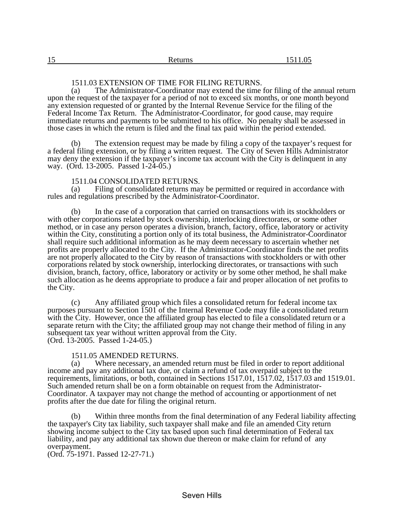## 1511.03 EXTENSION OF TIME FOR FILING RETURNS.

<span id="page-13-0"></span> (a) The Administrator-Coordinator may extend the time for filing of the annual return upon the request of the taxpayer for a period of not to exceed six months, or one month beyond any extension requested of or granted by the Internal Revenue Service for the filing of the Federal Income Tax Return. The Administrator-Coordinator, for good cause, may require immediate returns and payments to be submitted to his office. No penalty shall be assessed in those cases in which the return is filed and the final tax paid within the period extended.

 (b) The extension request may be made by filing a copy of the taxpayer's request for a federal filing extension, or by filing a written request. The City of Seven Hills Administrator may deny the extension if the taxpayer's income tax account with the City is delinquent in any way. (Ord. 13-2005. Passed 1-24-05.)

# 1511.04 CONSOLIDATED RETURNS.<br>(a) Filing of consolidated returns may

Filing of consolidated returns may be permitted or required in accordance with rules and regulations prescribed by the Administrator-Coordinator.

 (b) In the case of a corporation that carried on transactions with its stockholders or with other corporations related by stock ownership, interlocking directorates, or some other method, or in case any person operates a division, branch, factory, office, laboratory or activity within the City, constituting a portion only of its total business, the Administrator-Coordinator shall require such additional information as he may deem necessary to ascertain whether net profits are properly allocated to the City. If the Administrator-Coordinator finds the net profits are not properly allocated to the City by reason of transactions with stockholders or with other corporations related by stock ownership, interlocking directorates, or transactions with such division, branch, factory, office, laboratory or activity or by some other method, he shall make such allocation as he deems appropriate to produce a fair and proper allocation of net profits to the City.

 (c) Any affiliated group which files a consolidated return for federal income tax purposes pursuant to Section 1501 of the Internal Revenue Code may file a consolidated return with the City. However, once the affiliated group has elected to file a consolidated return or a separate return with the City; the affiliated group may not change their method of filing in any subsequent tax year without written approval from the City. (Ord. 13-2005. Passed 1-24-05.)

## 1511.05 AMENDED RETURNS.

 (a) Where necessary, an amended return must be filed in order to report additional income and pay any additional tax due, or claim a refund of tax overpaid subject to the requirements, limitations, or both, contained in Sections 1517.01, 1517.02, 1517.03 and 1519.01. Such amended return shall be on a form obtainable on request from the Administrator-Coordinator. A taxpayer may not change the method of accounting or apportionment of net profits after the due date for filing the original return.

 (b) Within three months from the final determination of any Federal liability affecting the taxpayer's City tax liability, such taxpayer shall make and file an amended City return showing income subject to the City tax based upon such final determination of Federal tax liability, and pay any additional tax shown due thereon or make claim for refund of any overpayment.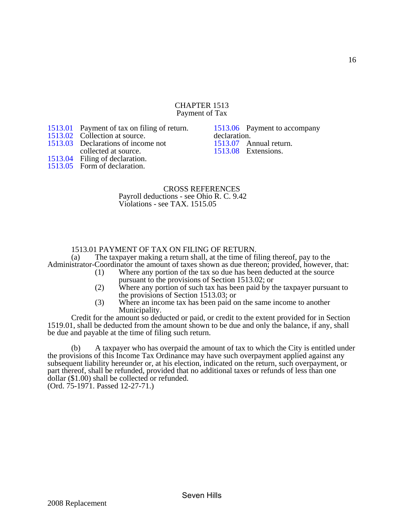#### CHAPTER 1513 Payment of Tax

<span id="page-14-0"></span>[1513.01](#page-14-0) Payment of tax on filing of return.

- [1513.02](#page-15-0) Collection at source.
- [1513.03](#page-16-0) Declarations of income not
- collected at source.

[1513.06](#page-16-0) Payment to accompany declaration. [1513.07](#page-17-0) Annual return. 1513.08 Extensions.

[1513.04](#page-16-0) Filing of declaration. 1513.05 Form of declaration.

## CROSS REFERENCES Payroll deductions - see Ohio R. C. 9.42 Violations - see TAX. 1515.05

# 1513.01 PAYMENT OF TAX ON FILING OF RETURN.<br>(a) The taxpayer making a return shall, at the time of fi

The taxpayer making a return shall, at the time of filing thereof, pay to the Administrator-Coordinator the amount of taxes shown as due thereon; provided, however, that:

- (1) Where any portion of the tax so due has been deducted at the source pursuant to the provisions of Section 1513.02; or
- (2) Where any portion of such tax has been paid by the taxpayer pursuant to the provisions of Section 1513.03; or
- (3) Where an income tax has been paid on the same income to another Municipality.

 Credit for the amount so deducted or paid, or credit to the extent provided for in Section 1519.01, shall be deducted from the amount shown to be due and only the balance, if any, shall be due and payable at the time of filing such return.

 (b) A taxpayer who has overpaid the amount of tax to which the City is entitled under the provisions of this Income Tax Ordinance may have such overpayment applied against any subsequent liability hereunder or, at his election, indicated on the return, such overpayment, or part thereof, shall be refunded, provided that no additional taxes or refunds of less than one dollar (\$1.00) shall be collected or refunded. (Ord. 75-1971. Passed 12-27-71.)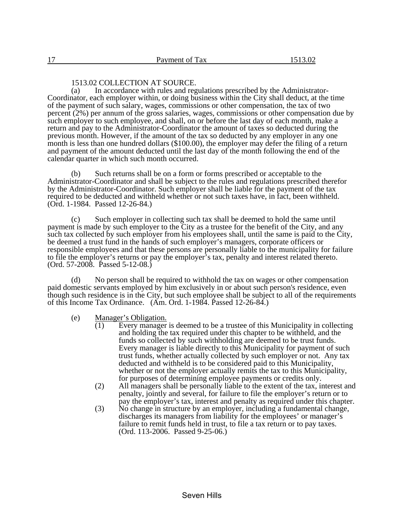## 1513.02 COLLECTION AT SOURCE.

<span id="page-15-0"></span> (a) In accordance with rules and regulations prescribed by the Administrator-Coordinator, each employer within, or doing business within the City shall deduct, at the time of the payment of such salary, wages, commissions or other compensation, the tax of two percent (2%) per annum of the gross salaries, wages, commissions or other compensation due by such employer to such employee, and shall, on or before the last day of each month, make a return and pay to the Administrator-Coordinator the amount of taxes so deducted during the previous month. However, if the amount of the tax so deducted by any employer in any one month is less than one hundred dollars (\$100.00), the employer may defer the filing of a return and payment of the amount deducted until the last day of the month following the end of the calendar quarter in which such month occurred.

 (b) Such returns shall be on a form or forms prescribed or acceptable to the Administrator-Coordinator and shall be subject to the rules and regulations prescribed therefor by the Administrator-Coordinator. Such employer shall be liable for the payment of the tax required to be deducted and withheld whether or not such taxes have, in fact, been withheld. (Ord. 1-1984. Passed 12-26-84.)

 (c) Such employer in collecting such tax shall be deemed to hold the same until payment is made by such employer to the City as a trustee for the benefit of the City, and any such tax collected by such employer from his employees shall, until the same is paid to the City, be deemed a trust fund in the hands of such employer's managers, corporate officers or responsible employees and that these persons are personally liable to the municipality for failure to file the employer's returns or pay the employer's tax, penalty and interest related thereto. (Ord. 57-2008. Passed 5-12-08.)

 (d) No person shall be required to withhold the tax on wages or other compensation paid domestic servants employed by him exclusively in or about such person's residence, even though such residence is in the City, but such employee shall be subject to all of the requirements of this Income Tax Ordinance. (Am. Ord. 1-1984. Passed 12-26-84.)

(e) Manager's Obligation.<br>(1) Every manager

- Every manager is deemed to be a trustee of this Municipality in collecting and holding the tax required under this chapter to be withheld, and the funds so collected by such withholding are deemed to be trust funds. Every manager is liable directly to this Municipality for payment of such trust funds, whether actually collected by such employer or not. Any tax deducted and withheld is to be considered paid to this Municipality, whether or not the employer actually remits the tax to this Municipality, for purposes of determining employee payments or credits only.
- (2) All managers shall be personally liable to the extent of the tax, interest and penalty, jointly and several, for failure to file the employer's return or to pay the employer's tax, interest and penalty as required under this chapter.
- (3) No change in structure by an employer, including a fundamental change, discharges its managers from liability for the employees' or manager's failure to remit funds held in trust, to file a tax return or to pay taxes. (Ord. 113-2006. Passed 9-25-06.)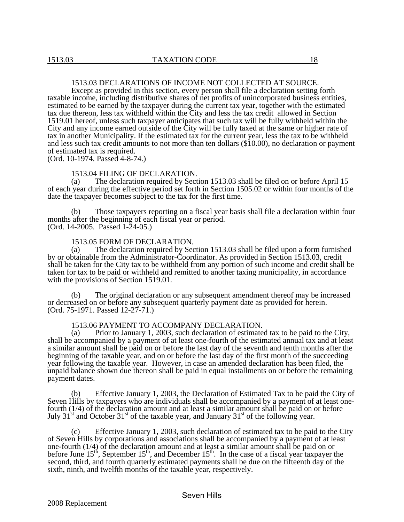## 1513.03 DECLARATIONS OF INCOME NOT COLLECTED AT SOURCE.

<span id="page-16-0"></span> Except as provided in this section, every person shall file a declaration setting forth taxable income, including distributive shares of net profits of unincorporated business entities, estimated to be earned by the taxpayer during the current tax year, together with the estimated tax due thereon, less tax withheld within the City and less the tax credit allowed in Section 1519.01 hereof, unless such taxpayer anticipates that such tax will be fully withheld within the City and any income earned outside of the City will be fully taxed at the same or higher rate of tax in another Municipality. If the estimated tax for the current year, less the tax to be withheld and less such tax credit amounts to not more than ten dollars (\$10.00), no declaration or payment of estimated tax is required.

(Ord. 10-1974. Passed 4-8-74.)

#### 1513.04 FILING OF DECLARATION.

 (a) The declaration required by Section 1513.03 shall be filed on or before April 15 of each year during the effective period set forth in Section 1505.02 or within four months of the date the taxpayer becomes subject to the tax for the first time.

 (b) Those taxpayers reporting on a fiscal year basis shall file a declaration within four months after the beginning of each fiscal year or period. (Ord. 14-2005. Passed 1-24-05.)

#### 1513.05 FORM OF DECLARATION.

 (a) The declaration required by Section 1513.03 shall be filed upon a form furnished by or obtainable from the Administrator-Coordinator. As provided in Section 1513.03, credit shall be taken for the City tax to be withheld from any portion of such income and credit shall be taken for tax to be paid or withheld and remitted to another taxing municipality, in accordance with the provisions of Section 1519.01.

 (b) The original declaration or any subsequent amendment thereof may be increased or decreased on or before any subsequent quarterly payment date as provided for herein. (Ord. 75-1971. Passed 12-27-71.)

#### 1513.06 PAYMENT TO ACCOMPANY DECLARATION.

 (a) Prior to January 1, 2003, such declaration of estimated tax to be paid to the City, shall be accompanied by a payment of at least one-fourth of the estimated annual tax and at least a similar amount shall be paid on or before the last day of the seventh and tenth months after the beginning of the taxable year, and on or before the last day of the first month of the succeeding year following the taxable year. However, in case an amended declaration has been filed, the unpaid balance shown due thereon shall be paid in equal installments on or before the remaining payment dates.

 (b) Effective January 1, 2003, the Declaration of Estimated Tax to be paid the City of Seven Hills by taxpayers who are individuals shall be accompanied by a payment of at least onefourth (1/4) of the declaration amount and at least a similar amount shall be paid on or before July 31<sup>st</sup> and October 31<sup>st</sup> of the taxable year, and January 31<sup>st</sup> of the following year.

 (c) Effective January 1, 2003, such declaration of estimated tax to be paid to the City of Seven Hills by corporations and associations shall be accompanied by a payment of at least one-fourth (1/4) of the declaration amount and at least a similar amount shall be paid on or before June  $15<sup>th</sup>$ , September  $15<sup>th</sup>$ , and December  $15<sup>th</sup>$ . In the case of a fiscal year taxpayer the second, third, and fourth quarterly estimated payments shall be due on the fifteenth day of the sixth, ninth, and twelfth months of the taxable year, respectively.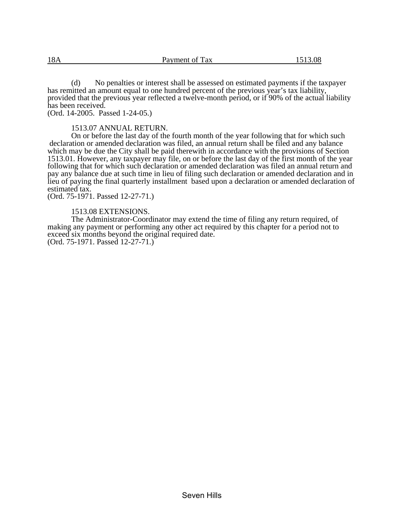<span id="page-17-0"></span> (d) No penalties or interest shall be assessed on estimated payments if the taxpayer has remitted an amount equal to one hundred percent of the previous year's tax liability, provided that the previous year reflected a twelve-month period, or if 90% of the actual liability has been received.

(Ord. 14-2005. Passed 1-24-05.)

1513.07 ANNUAL RETURN.

 On or before the last day of the fourth month of the year following that for which such declaration or amended declaration was filed, an annual return shall be filed and any balance which may be due the City shall be paid therewith in accordance with the provisions of Section 1513.01. However, any taxpayer may file, on or before the last day of the first month of the year following that for which such declaration or amended declaration was filed an annual return and pay any balance due at such time in lieu of filing such declaration or amended declaration and in lieu of paying the final quarterly installment based upon a declaration or amended declaration of estimated tax.

(Ord. 75-1971. Passed 12-27-71.)

## 1513.08 EXTENSIONS.

 The Administrator-Coordinator may extend the time of filing any return required, of making any payment or performing any other act required by this chapter for a period not to exceed six months beyond the original required date.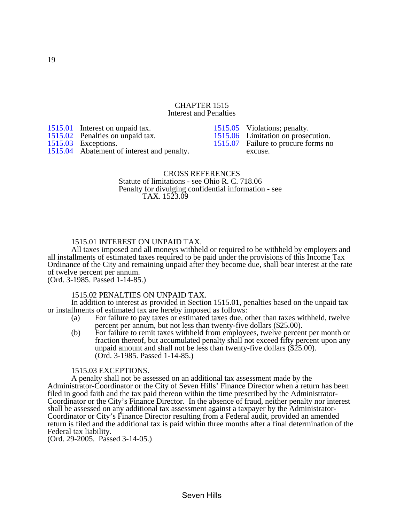#### CHAPTER 1515 Interest and Penalties

[1515.01](#page-18-0) Interest on unpaid tax.

1515.02 Penalties on unpaid tax.

1515.03 Exceptions.

[1515.04](#page-19-0) Abatement of interest and penalty.

1515.05 Violations; penalty. [1515.06](#page-19-0) Limitation on prosecution.<br>1515.07 Failure to procure forms no Failure to procure forms no excuse.

## CROSS REFERENCES Statute of limitations - see Ohio R. C. 718.06 Penalty for divulging confidential information - see

TAX. 1523.09

## 1515.01 INTEREST ON UNPAID TAX.

 All taxes imposed and all moneys withheld or required to be withheld by employers and all installments of estimated taxes required to be paid under the provisions of this Income Tax Ordinance of the City and remaining unpaid after they become due, shall bear interest at the rate of twelve percent per annum. (Ord. 3-1985. Passed 1-14-85.)

#### 1515.02 PENALTIES ON UNPAID TAX.

 In addition to interest as provided in Section 1515.01, penalties based on the unpaid tax or installments of estimated tax are hereby imposed as follows:

- (a) For failure to pay taxes or estimated taxes due, other than taxes withheld, twelve percent per annum, but not less than twenty-five dollars (\$25.00).
- (b) For failure to remit taxes withheld from employees, twelve percent per month or fraction thereof, but accumulated penalty shall not exceed fifty percent upon any unpaid amount and shall not be less than twenty-five dollars (\$25.00). (Ord. 3-1985. Passed 1-14-85.)

## 1515.03 EXCEPTIONS.

 A penalty shall not be assessed on an additional tax assessment made by the Administrator-Coordinator or the City of Seven Hills' Finance Director when a return has been filed in good faith and the tax paid thereon within the time prescribed by the Administrator-Coordinator or the City's Finance Director. In the absence of fraud, neither penalty nor interest shall be assessed on any additional tax assessment against a taxpayer by the Administrator-Coordinator or City's Finance Director resulting from a Federal audit, provided an amended return is filed and the additional tax is paid within three months after a final determination of the Federal tax liability.

(Ord. 29-2005. Passed 3-14-05.)

<span id="page-18-0"></span>19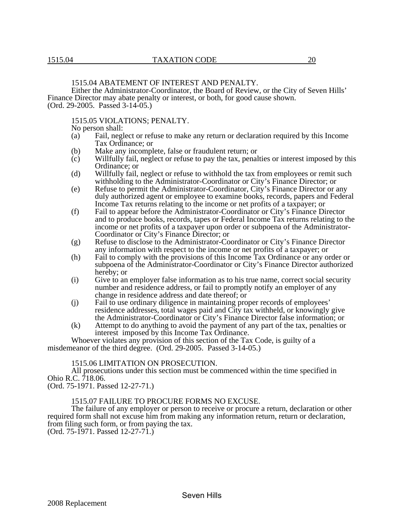<span id="page-19-0"></span> Either the Administrator-Coordinator, the Board of Review, or the City of Seven Hills' Finance Director may abate penalty or interest, or both, for good cause shown. (Ord. 29-2005. Passed 3-14-05.)

## 1515.05 VIOLATIONS; PENALTY.

No person shall:

- (a) Fail, neglect or refuse to make any return or declaration required by this Income Tax Ordinance; or
- (b) Make any incomplete, false or fraudulent return; or
- (c) Willfully fail, neglect or refuse to pay the tax, penalties or interest imposed by this Ordinance; or
- (d) Willfully fail, neglect or refuse to withhold the tax from employees or remit such withholding to the Administrator-Coordinator or City's Finance Director; or
- (e) Refuse to permit the Administrator-Coordinator, City's Finance Director or any duly authorized agent or employee to examine books, records, papers and Federal Income Tax returns relating to the income or net profits of a taxpayer; or
- (f) Fail to appear before the Administrator-Coordinator or City's Finance Director and to produce books, records, tapes or Federal Income Tax returns relating to the income or net profits of a taxpayer upon order or subpoena of the Administrator-Coordinator or City's Finance Director; or
- (g) Refuse to disclose to the Administrator-Coordinator or City's Finance Director any information with respect to the income or net profits of a taxpayer; or
- (h) Fail to comply with the provisions of this Income Tax Ordinance or any order or subpoena of the Administrator-Coordinator or City's Finance Director authorized hereby; or
- (i) Give to an employer false information as to his true name, correct social security number and residence address, or fail to promptly notify an employer of any change in residence address and date thereof; or
- (j) Fail to use ordinary diligence in maintaining proper records of employees' residence addresses, total wages paid and City tax withheld, or knowingly give the Administrator-Coordinator or City's Finance Director false information; or
- (k) Attempt to do anything to avoid the payment of any part of the tax, penalties or interest imposed by this Income Tax Ordinance.

 Whoever violates any provision of this section of the Tax Code, is guilty of a misdemeanor of the third degree. (Ord. 29-2005. Passed 3-14-05.)

#### 1515.06 LIMITATION ON PROSECUTION.

 All prosecutions under this section must be commenced within the time specified in Ohio R.C. 718.06.

(Ord. 75-1971. Passed 12-27-71.)

#### 1515.07 FAILURE TO PROCURE FORMS NO EXCUSE.

 The failure of any employer or person to receive or procure a return, declaration or other required form shall not excuse him from making any information return, return or declaration, from filing such form, or from paying the tax. (Ord. 75-1971. Passed 12-27-71.)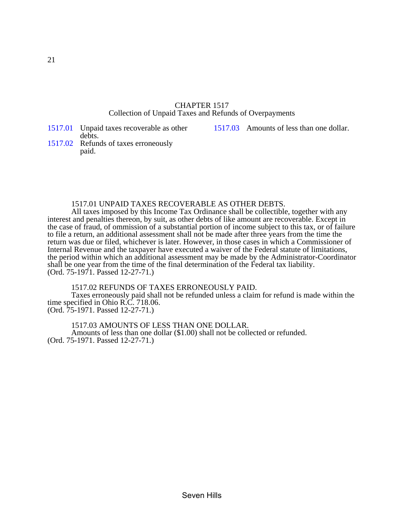## CHAPTER 1517 Collection of Unpaid Taxes and Refunds of Overpayments

[1517.03](#page-20-0) Amounts of less than one dollar.

debts. 1517.02 Refunds of taxes erroneously paid.

<span id="page-20-0"></span>[1517.01](#page-20-0) Unpaid taxes recoverable as other

## 1517.01 UNPAID TAXES RECOVERABLE AS OTHER DEBTS.

 All taxes imposed by this Income Tax Ordinance shall be collectible, together with any interest and penalties thereon, by suit, as other debts of like amount are recoverable. Except in the case of fraud, of ommission of a substantial portion of income subject to this tax, or of failure to file a return, an additional assessment shall not be made after three years from the time the return was due or filed, whichever is later. However, in those cases in which a Commissioner of Internal Revenue and the taxpayer have executed a waiver of the Federal statute of limitations, the period within which an additional assessment may be made by the Administrator-Coordinator shall be one year from the time of the final determination of the Federal tax liability. (Ord. 75-1971. Passed 12-27-71.)

1517.02 REFUNDS OF TAXES ERRONEOUSLY PAID.

 Taxes erroneously paid shall not be refunded unless a claim for refund is made within the time specified in Ohio R.C. 718.06.

(Ord. 75-1971. Passed 12-27-71.)

1517.03 AMOUNTS OF LESS THAN ONE DOLLAR.

 Amounts of less than one dollar (\$1.00) shall not be collected or refunded. (Ord. 75-1971. Passed 12-27-71.)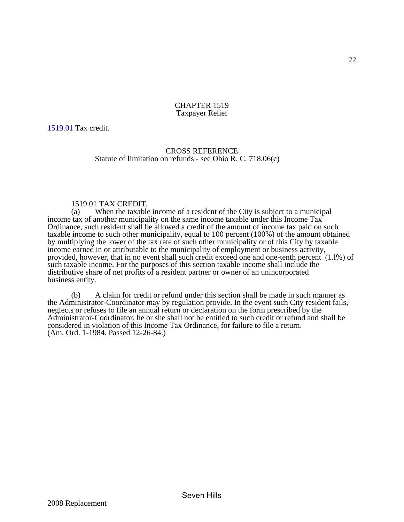#### CHAPTER 1519 Taxpayer Relief

<span id="page-21-0"></span>[1519.01](#page-21-0) Tax credit.

## CROSS REFERENCE Statute of limitation on refunds - see Ohio R. C. 718.06(c)

# 1519.01 TAX CREDIT.<br>(a) When the taxable

When the taxable income of a resident of the City is subject to a municipal income tax of another municipality on the same income taxable under this Income Tax Ordinance, such resident shall be allowed a credit of the amount of income tax paid on such taxable income to such other municipality, equal to 100 percent (100%) of the amount obtained by multiplying the lower of the tax rate of such other municipality or of this City by taxable income earned in or attributable to the municipality of employment or business activity, provided, however, that in no event shall such credit exceed one and one-tenth percent (1.l%) of such taxable income. For the purposes of this section taxable income shall include the distributive share of net profits of a resident partner or owner of an unincorporated business entity.

 (b) A claim for credit or refund under this section shall be made in such manner as the Administrator-Coordinator may by regulation provide. In the event such City resident fails, neglects or refuses to file an annual return or declaration on the form prescribed by the Administrator-Coordinator, he or she shall not be entitled to such credit or refund and shall be considered in violation of this Income Tax Ordinance, for failure to file a return. (Am. Ord. 1-1984. Passed 12-26-84.)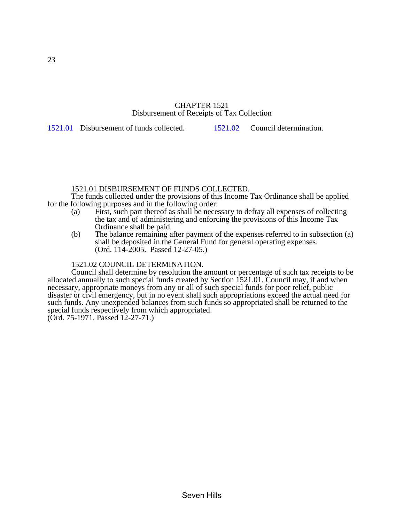## CHAPTER 1521 Disbursement of Receipts of Tax Collection

<span id="page-22-0"></span>[1521.01](#page-22-0) Disbursement of funds collected. 1[521.02](#page-22-0) Council determination.

## 1521.01 DISBURSEMENT OF FUNDS COLLECTED.

 The funds collected under the provisions of this Income Tax Ordinance shall be applied for the following purposes and in the following order:

- (a) First, such part thereof as shall be necessary to defray all expenses of collecting the tax and of administering and enforcing the provisions of this Income Tax Ordinance shall be paid.
- (b) The balance remaining after payment of the expenses referred to in subsection (a) shall be deposited in the General Fund for general operating expenses. (Ord. 114-2005. Passed 12-27-05.)

## 1521.02 COUNCIL DETERMINATION.

 Council shall determine by resolution the amount or percentage of such tax receipts to be allocated annually to such special funds created by Section 1521.01. Council may, if and when necessary, appropriate moneys from any or all of such special funds for poor relief, public disaster or civil emergency, but in no event shall such appropriations exceed the actual need for such funds. Any unexpended balances from such funds so appropriated shall be returned to the special funds respectively from which appropriated.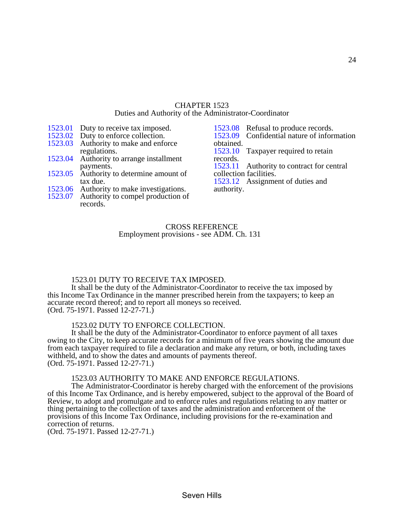## CHAPTER 1523 Duties and Authority of the Administrator-Coordinator

- <span id="page-23-0"></span>[1523.01](#page-23-0) Duty to receive tax imposed.<br>1523.02 Duty to enforce collection. Duty to enforce collection.
- 1523.03 Authority to make and enforce regulations.
- [1523.04](#page-24-0) Authority to arrange installment payments.
- [1523.05](#page-24-0) Authority to determine amount of tax due.
- [1523.06](#page-24-0) Authority to make investigations.
- 1523.07 Authority to compel production of records.
- [1523.08](#page-25-0) Refusal to produce records. 1523.09 Confidential nature of information obtained. [1523.10](#page-25-0) Taxpayer required to retain records. [1523.11](#page-25-0) Authority to contract for central collection facilities. [1523.12](#page-25-0) Assignment of duties and authority.

## CROSS REFERENCE Employment provisions - see ADM. Ch. 131

## 1523.01 DUTY TO RECEIVE TAX IMPOSED.

 It shall be the duty of the Administrator-Coordinator to receive the tax imposed by this Income Tax Ordinance in the manner prescribed herein from the taxpayers; to keep an accurate record thereof; and to report all moneys so received. (Ord. 75-1971. Passed 12-27-71.)

#### 1523.02 DUTY TO ENFORCE COLLECTION.

 It shall be the duty of the Administrator-Coordinator to enforce payment of all taxes owing to the City, to keep accurate records for a minimum of five years showing the amount due from each taxpayer required to file a declaration and make any return, or both, including taxes withheld, and to show the dates and amounts of payments thereof. (Ord. 75-1971. Passed 12-27-71.)

#### 1523.03 AUTHORITY TO MAKE AND ENFORCE REGULATIONS.

 The Administrator-Coordinator is hereby charged with the enforcement of the provisions of this Income Tax Ordinance, and is hereby empowered, subject to the approval of the Board of Review, to adopt and promulgate and to enforce rules and regulations relating to any matter or thing pertaining to the collection of taxes and the administration and enforcement of the provisions of this Income Tax Ordinance, including provisions for the re-examination and correction of returns.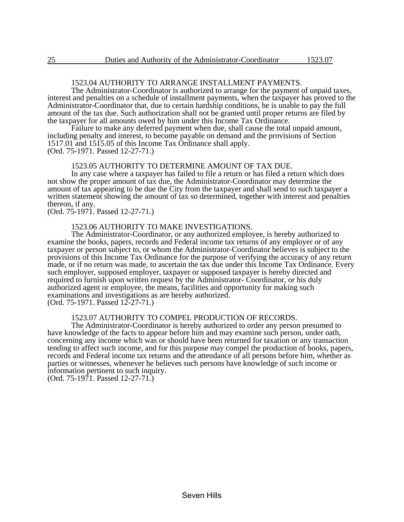## 1523.04 AUTHORITY TO ARRANGE INSTALLMENT PAYMENTS.

<span id="page-24-0"></span> The Administrator-Coordinator is authorized to arrange for the payment of unpaid taxes, interest and penalties on a schedule of installment payments, when the taxpayer has proved to the Administrator-Coordinator that, due to certain hardship conditions, he is unable to pay the full amount of the tax due. Such authorization shall not be granted until proper returns are filed by the taxpayer for all amounts owed by him under this Income Tax Ordinance.

 Failure to make any deferred payment when due, shall cause the total unpaid amount, including penalty and interest, to become payable on demand and the provisions of Section 1517.01 and 1515.05 of this Income Tax Ordinance shall apply. (Ord. 75-1971. Passed 12-27-71.)

#### 1523.05 AUTHORITY TO DETERMINE AMOUNT OF TAX DUE.

 In any case where a taxpayer has failed to file a return or has filed a return which does not show the proper amount of tax due, the Administrator-Coordinator may determine the amount of tax appearing to be due the City from the taxpayer and shall send to such taxpayer a written statement showing the amount of tax so determined, together with interest and penalties thereon, if any.

(Ord. 75-1971. Passed 12-27-71.)

#### 1523.06 AUTHORITY TO MAKE INVESTIGATIONS.

 The Administrator-Coordinator, or any authorized employee, is hereby authorized to examine the books, papers, records and Federal income tax returns of any employer or of any taxpayer or person subject to, or whom the Administrator-Coordinator believes is subject to the provisions of this Income Tax Ordinance for the purpose of verifying the accuracy of any return made, or if no return was made, to ascertain the tax due under this Income Tax Ordinance. Every such employer, supposed employer, taxpayer or supposed taxpayer is hereby directed and required to furnish upon written request by the Administrator- Coordinator, or his duly authorized agent or employee, the means, facilities and opportunity for making such examinations and investigations as are hereby authorized. (Ord. 75-1971. Passed 12-27-71.)

1523.07 AUTHORITY TO COMPEL PRODUCTION OF RECORDS.

 The Administrator-Coordinator is hereby authorized to order any person presumed to have knowledge of the facts to appear before him and may examine such person, under oath, concerning any income which was or should have been returned for taxation or any transaction tending to affect such income, and for this purpose may compel the production of books, papers, records and Federal income tax returns and the attendance of all persons before him, whether as parties or witnesses, whenever he believes such persons have knowledge of such income or information pertinent to such inquiry.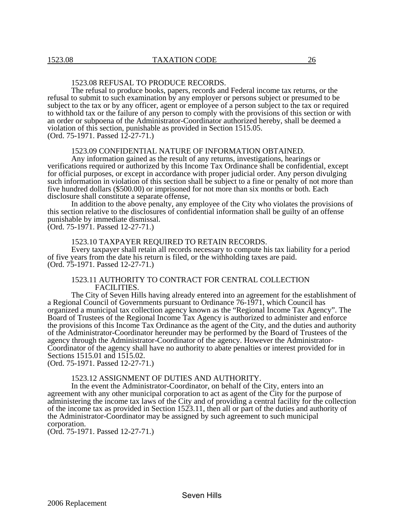## 1523.08 REFUSAL TO PRODUCE RECORDS.

<span id="page-25-0"></span> The refusal to produce books, papers, records and Federal income tax returns, or the refusal to submit to such examination by any employer or persons subject or presumed to be subject to the tax or by any officer, agent or employee of a person subject to the tax or required to withhold tax or the failure of any person to comply with the provisions of this section or with an order or subpoena of the Administrator-Coordinator authorized hereby, shall be deemed a violation of this section, punishable as provided in Section 1515.05. (Ord. 75-1971. Passed 12-27-71.)

#### 1523.09 CONFIDENTIAL NATURE OF INFORMATION OBTAINED.

 Any information gained as the result of any returns, investigations, hearings or verifications required or authorized by this Income Tax Ordinance shall be confidential, except for official purposes, or except in accordance with proper judicial order. Any person divulging such information in violation of this section shall be subject to a fine or penalty of not more than five hundred dollars (\$500.00) or imprisoned for not more than six months or both. Each disclosure shall constitute a separate offense,

 In addition to the above penalty, any employee of the City who violates the provisions of this section relative to the disclosures of confidential information shall be guilty of an offense punishable by immediate dismissal.

(Ord. 75-1971. Passed 12-27-71.)

#### 1523.10 TAXPAYER REQUIRED TO RETAIN RECORDS.

 Every taxpayer shall retain all records necessary to compute his tax liability for a period of five years from the date his return is filed, or the withholding taxes are paid. (Ord. 75-1971. Passed 12-27-71.)

## 1523.11 AUTHORITY TO CONTRACT FOR CENTRAL COLLECTION FACILITIES.

 The City of Seven Hills having already entered into an agreement for the establishment of a Regional Council of Governments pursuant to Ordinance 76-1971, which Council has organized a municipal tax collection agency known as the "Regional Income Tax Agency". The Board of Trustees of the Regional Income Tax Agency is authorized to administer and enforce the provisions of this Income Tax Ordinance as the agent of the City, and the duties and authority of the Administrator-Coordinator hereunder may be performed by the Board of Trustees of the agency through the Administrator-Coordinator of the agency. However the Administrator-Coordinator of the agency shall have no authority to abate penalties or interest provided for in Sections 1515.01 and 1515.02.

(Ord. 75-1971. Passed 12-27-71.)

## 1523.12 ASSIGNMENT OF DUTIES AND AUTHORITY.

 In the event the Administrator-Coordinator, on behalf of the City, enters into an agreement with any other municipal corporation to act as agent of the City for the purpose of administering the income tax laws of the City and of providing a central facility for the collection of the income tax as provided in Section 1523.11, then all or part of the duties and authority of the Administrator-Coordinator may be assigned by such agreement to such municipal corporation.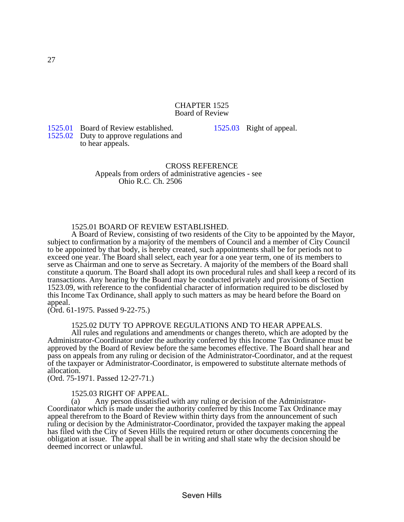#### CHAPTER 1525 Board of Review

<span id="page-26-0"></span>[1525.01](#page-26-0) Board of Review established. 1525.02 Duty to approve regulations and to hear appeals.

[1525.03](#page-26-0) Right of appeal.

## CROSS REFERENCE Appeals from orders of administrative agencies - see Ohio R.C. Ch. 2506

## 1525.01 BOARD OF REVIEW ESTABLISHED.

 A Board of Review, consisting of two residents of the City to be appointed by the Mayor, subject to confirmation by a majority of the members of Council and a member of City Council to be appointed by that body, is hereby created, such appointments shall be for periods not to exceed one year. The Board shall select, each year for a one year term, one of its members to serve as Chairman and one to serve as Secretary. A majority of the members of the Board shall constitute a quorum. The Board shall adopt its own procedural rules and shall keep a record of its transactions. Any hearing by the Board may be conducted privately and provisions of Section 1523.09, with reference to the confidential character of information required to be disclosed by this Income Tax Ordinance, shall apply to such matters as may be heard before the Board on appeal.

(Ord. 61-1975. Passed 9-22-75.)

#### 1525.02 DUTY TO APPROVE REGULATIONS AND TO HEAR APPEALS.

 All rules and regulations and amendments or changes thereto, which are adopted by the Administrator-Coordinator under the authority conferred by this Income Tax Ordinance must be approved by the Board of Review before the same becomes effective. The Board shall hear and pass on appeals from any ruling or decision of the Administrator-Coordinator, and at the request of the taxpayer or Administrator-Coordinator, is empowered to substitute alternate methods of allocation.

(Ord. 75-1971. Passed 12-27-71.)

#### 1525.03 RIGHT OF APPEAL.

 (a) Any person dissatisfied with any ruling or decision of the Administrator-Coordinator which is made under the authority conferred by this Income Tax Ordinance may appeal therefrom to the Board of Review within thirty days from the announcement of such ruling or decision by the Administrator-Coordinator, provided the taxpayer making the appeal has filed with the City of Seven Hills the required return or other documents concerning the obligation at issue. The appeal shall be in writing and shall state why the decision should be deemed incorrect or unlawful.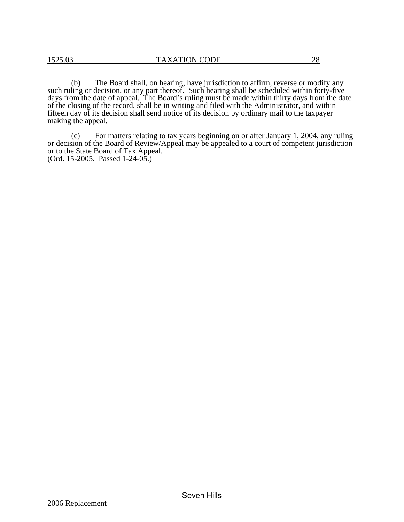(b) The Board shall, on hearing, have jurisdiction to affirm, reverse or modify any such ruling or decision, or any part thereof. Such hearing shall be scheduled within forty-five days from the date of appeal. The Board's ruling must be made within thirty days from the date of the closing of the record, shall be in writing and filed with the Administrator, and within fifteen day of its decision shall send notice of its decision by ordinary mail to the taxpayer making the appeal.

 (c) For matters relating to tax years beginning on or after January 1, 2004, any ruling or decision of the Board of Review/Appeal may be appealed to a court of competent jurisdiction or to the State Board of Tax Appeal. (Ord. 15-2005. Passed 1-24-05.)